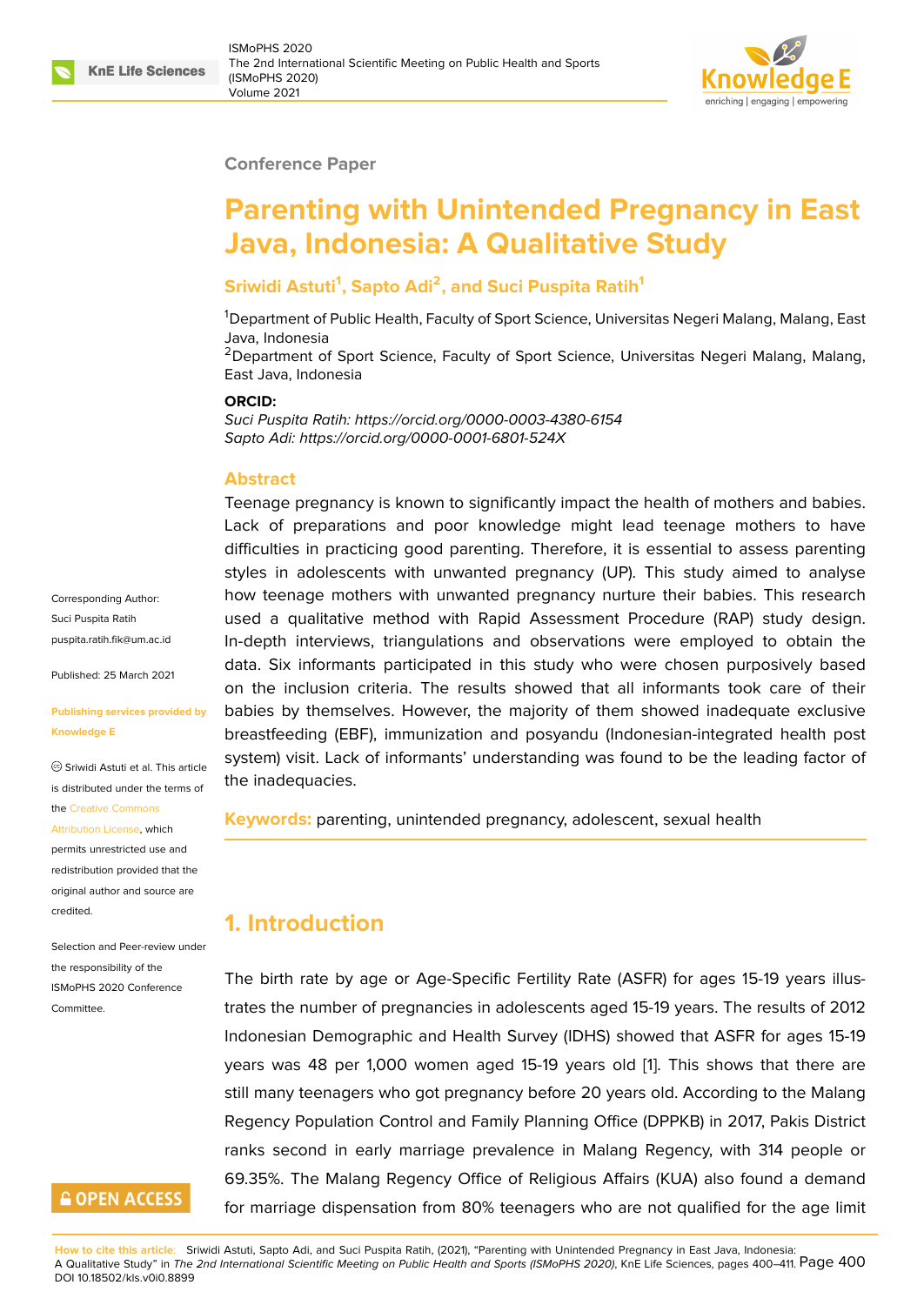#### **Conference Paper**

# **Parenting with Unintended Pregnancy in East Java, Indonesia: A Qualitative Study**

### **Sriwidi Astuti<sup>1</sup> , Sapto Adi<sup>2</sup> , and Suci Puspita Ratih<sup>1</sup>**

<sup>1</sup>Department of Public Health, Faculty of Sport Science, Universitas Negeri Malang, Malang, East Java, Indonesia

<sup>2</sup>Department of Sport Science, Faculty of Sport Science, Universitas Negeri Malang, Malang, East Java, Indonesia

#### **ORCID:**

*Suci Puspita Ratih: https://orcid.org/0000-0003-4380-6154 Sapto Adi: https://orcid.org/0000-0001-6801-524X*

#### **Abstract**

Teenage pregnancy is known to significantly impact the health of mothers and babies. Lack of preparations and poor knowledge might lead teenage mothers to have difficulties in practicing good parenting. Therefore, it is essential to assess parenting styles in adolescents with unwanted pregnancy (UP). This study aimed to analyse how teenage mothers with unwanted pregnancy nurture their babies. This research used a qualitative method with Rapid Assessment Procedure (RAP) study design. In-depth interviews, triangulations and observations were employed to obtain the data. Six informants participated in this study who were chosen purposively based on the inclusion criteria. The results showed that all informants took care of their babies by themselves. However, the majority of them showed inadequate exclusive breastfeeding (EBF), immunization and posyandu (Indonesian-integrated health post system) visit. Lack of informants' understanding was found to be the leading factor of the inadequacies.

**Keywords:** parenting, unintended pregnancy, adolescent, sexual health

# **1. Introduction**

The birth rate by age or Age-Specific Fertility Rate (ASFR) for ages 15-19 years illustrates the number of pregnancies in adolescents aged 15-19 years. The results of 2012 Indonesian Demographic and Health Survey (IDHS) showed that ASFR for ages 15-19 years was 48 per 1,000 women aged 15-19 years old [1]. This shows that there are still many teenagers who got pregnancy before 20 years old. According to the Malang Regency Population Control and Family Planning Office (DPPKB) in 2017, Pakis District ranks second in early marriage prevalence in Malang [R](#page-10-0)egency, with 314 people or 69.35%. The Malang Regency Office of Religious Affairs (KUA) also found a demand for marriage dispensation from 80% teenagers who are not qualified for the age limit

Corresponding Author: Suci Puspita Ratih puspita.ratih.fik@um.ac.id

Published: 25 March 2021

#### **[Publishing services provi](mailto:puspita.ratih.fik@um.ac.id)ded by Knowledge E**

Sriwidi Astuti et al. This article is distributed under the terms of the Creative Commons

Attribution License, which

permits unrestricted use and redistribution provided that the orig[inal author and sou](https://creativecommons.org/licenses/by/4.0/)rce are [credited.](https://creativecommons.org/licenses/by/4.0/)

Selection and Peer-review under the responsibility of the ISMoPHS 2020 Conference **Committee** 

# **GOPEN ACCESS**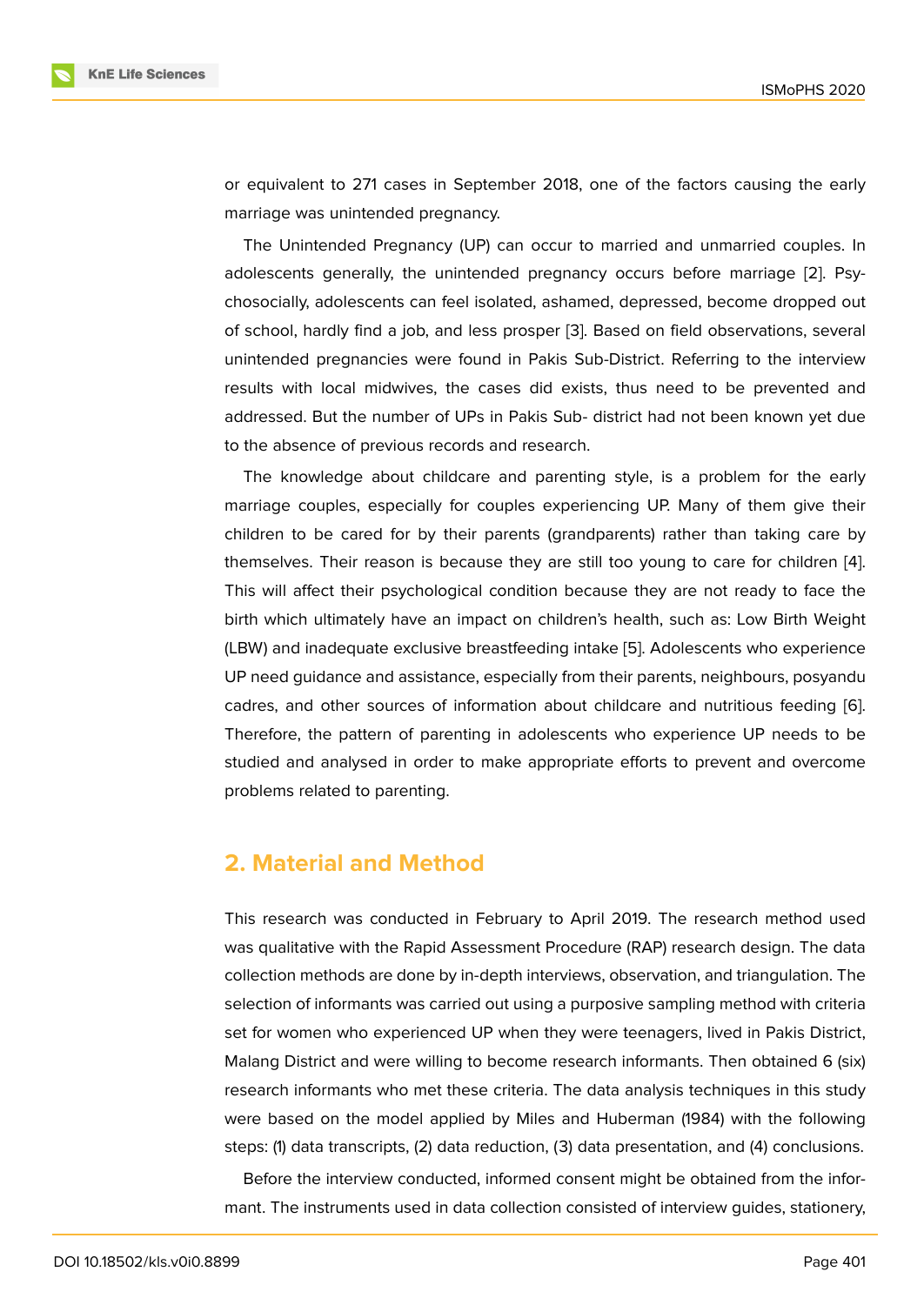or equivalent to 271 cases in September 2018, one of the factors causing the early marriage was unintended pregnancy.

The Unintended Pregnancy (UP) can occur to married and unmarried couples. In adolescents generally, the unintended pregnancy occurs before marriage [2]. Psychosocially, adolescents can feel isolated, ashamed, depressed, become dropped out of school, hardly find a job, and less prosper [3]. Based on field observations, several unintended pregnancies were found in Pakis Sub-District. Referring to the i[nte](#page-10-1)rview results with local midwives, the cases did exists, thus need to be prevented and addressed. But the number of UPs in Pakis S[ub](#page-11-0)- district had not been known yet due to the absence of previous records and research.

The knowledge about childcare and parenting style, is a problem for the early marriage couples, especially for couples experiencing UP. Many of them give their children to be cared for by their parents (grandparents) rather than taking care by themselves. Their reason is because they are still too young to care for children [4]. This will affect their psychological condition because they are not ready to face the birth which ultimately have an impact on children's health, such as: Low Birth Weight (LBW) and inadequate exclusive breastfeeding intake [5]. Adolescents who experien[ce](#page-11-1) UP need guidance and assistance, especially from their parents, neighbours, posyandu cadres, and other sources of information about childcare and nutritious feeding [6]. Therefore, the pattern of parenting in adolescents w[ho](#page-11-2) experience UP needs to be studied and analysed in order to make appropriate efforts to prevent and overcome problems related to parenting.

### **2. Material and Method**

This research was conducted in February to April 2019. The research method used was qualitative with the Rapid Assessment Procedure (RAP) research design. The data collection methods are done by in-depth interviews, observation, and triangulation. The selection of informants was carried out using a purposive sampling method with criteria set for women who experienced UP when they were teenagers, lived in Pakis District, Malang District and were willing to become research informants. Then obtained 6 (six) research informants who met these criteria. The data analysis techniques in this study were based on the model applied by Miles and Huberman (1984) with the following steps: (1) data transcripts, (2) data reduction, (3) data presentation, and (4) conclusions.

Before the interview conducted, informed consent might be obtained from the informant. The instruments used in data collection consisted of interview guides, stationery,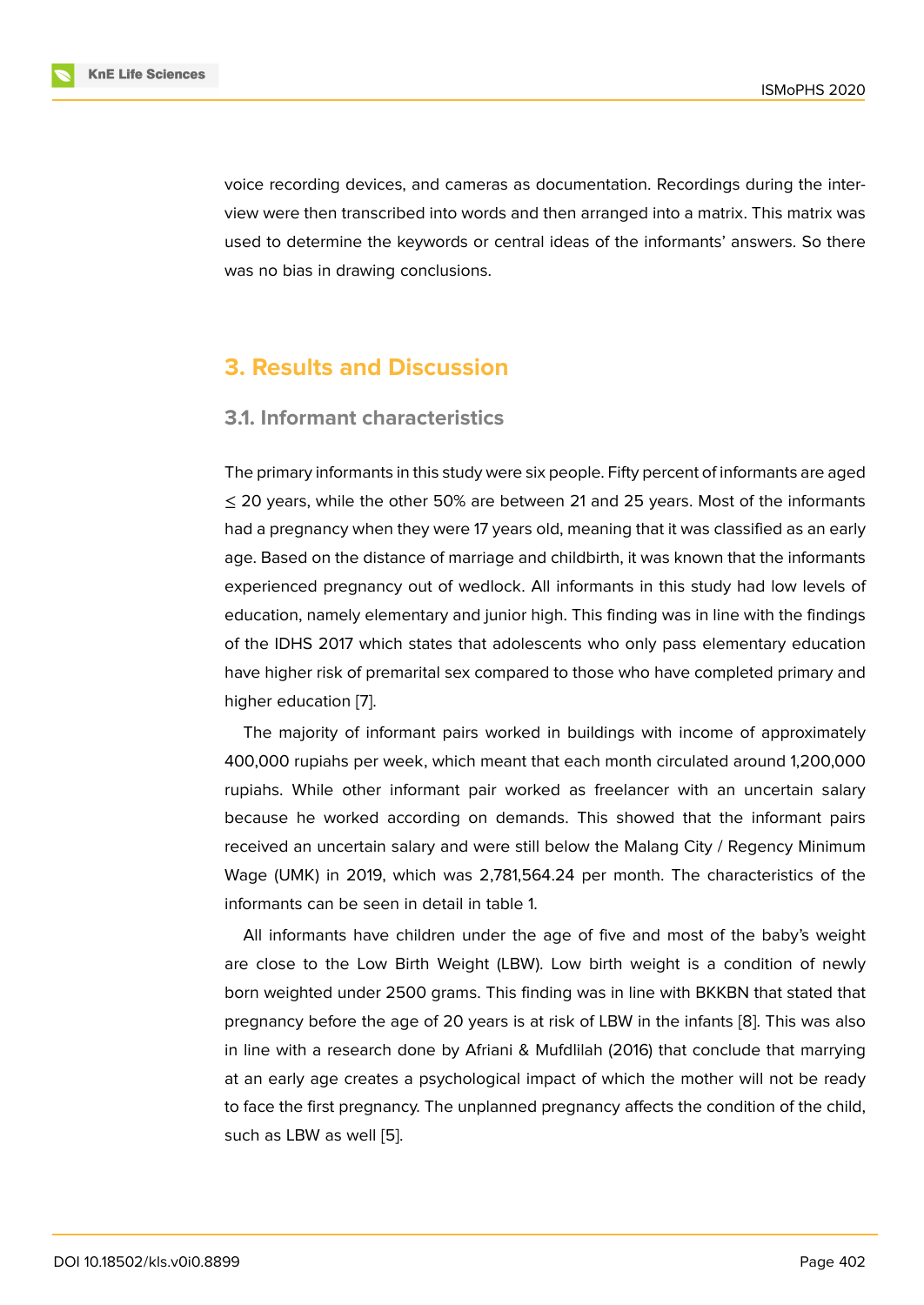voice recording devices, and cameras as documentation. Recordings during the interview were then transcribed into words and then arranged into a matrix. This matrix was used to determine the keywords or central ideas of the informants' answers. So there was no bias in drawing conclusions.

### **3. Results and Discussion**

#### **3.1. Informant characteristics**

The primary informants in this study were six people. Fifty percent of informants are aged  $\leq$  20 years, while the other 50% are between 21 and 25 years. Most of the informants had a pregnancy when they were 17 years old, meaning that it was classified as an early age. Based on the distance of marriage and childbirth, it was known that the informants experienced pregnancy out of wedlock. All informants in this study had low levels of education, namely elementary and junior high. This finding was in line with the findings of the IDHS 2017 which states that adolescents who only pass elementary education have higher risk of premarital sex compared to those who have completed primary and higher education [7].

The majority of informant pairs worked in buildings with income of approximately 400,000 rupiahs per week, which meant that each month circulated around 1,200,000 rupiahs. While ot[he](#page-11-3)r informant pair worked as freelancer with an uncertain salary because he worked according on demands. This showed that the informant pairs received an uncertain salary and were still below the Malang City / Regency Minimum Wage (UMK) in 2019, which was 2,781,564.24 per month. The characteristics of the informants can be seen in detail in table 1.

All informants have children under the age of five and most of the baby's weight are close to the Low Birth Weight (LBW). Low birth weight is a condition of newly born weighted under 2500 grams. This finding was in line with BKKBN that stated that pregnancy before the age of 20 years is at risk of LBW in the infants [8]. This was also in line with a research done by Afriani & Mufdlilah (2016) that conclude that marrying at an early age creates a psychological impact of which the mother will not be ready to face the first pregnancy. The unplanned pregnancy affects the con[dit](#page-11-4)ion of the child, such as LBW as well [5].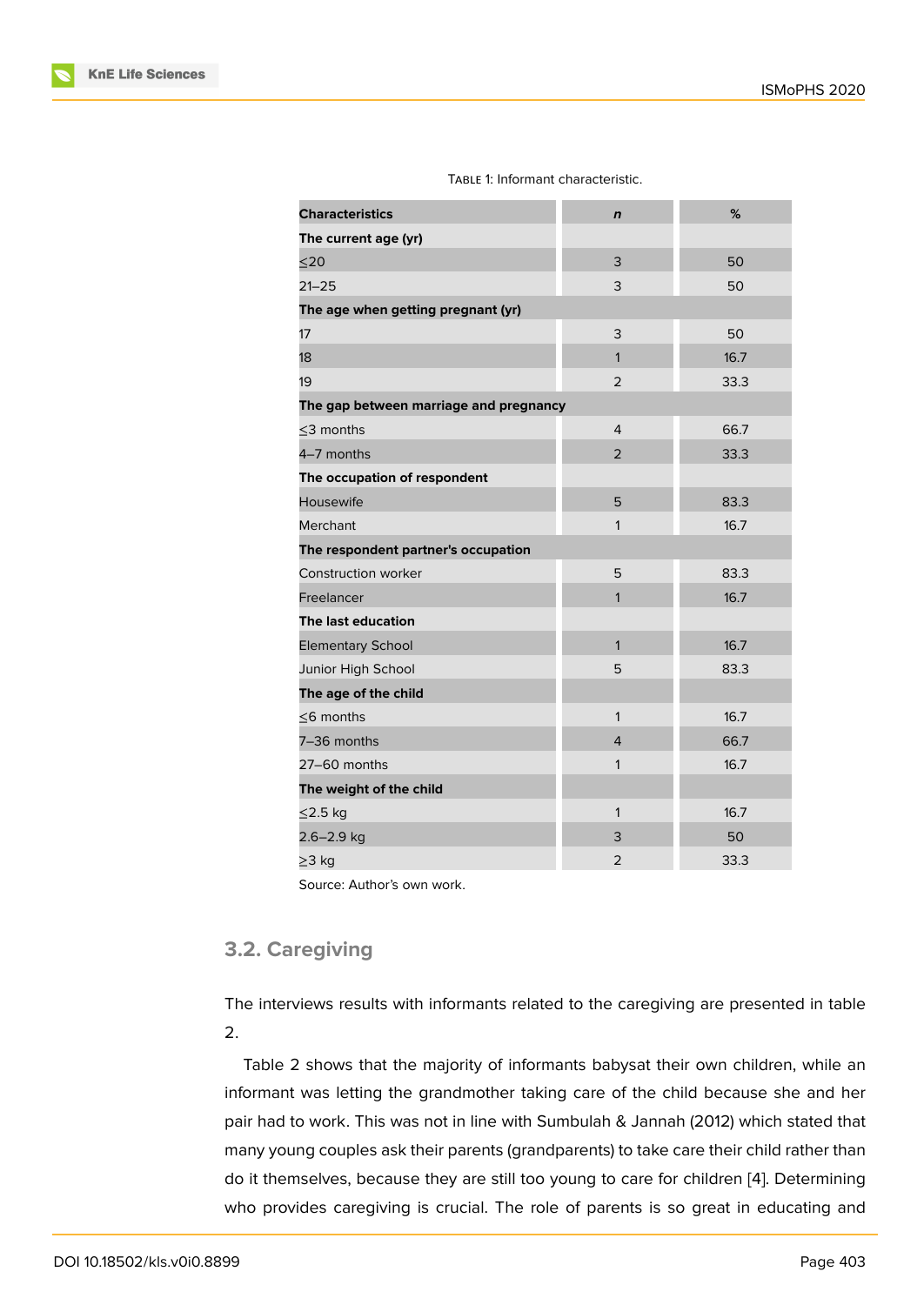|  |  | TABLE 1: Informant characteristic. |
|--|--|------------------------------------|
|--|--|------------------------------------|

| <b>Characteristics</b>                 | $\mathbf n$    | %    |
|----------------------------------------|----------------|------|
| The current age (yr)                   |                |      |
| $20$                                   | 3              | 50   |
| $21 - 25$                              | 3              | 50   |
| The age when getting pregnant (yr)     |                |      |
| 17                                     | 3              | 50   |
| 18                                     | $\mathbf{1}$   | 16.7 |
| 19                                     | 2              | 33.3 |
| The gap between marriage and pregnancy |                |      |
| $<$ 3 months                           | $\overline{4}$ | 66.7 |
| 4-7 months                             | $\overline{2}$ | 33.3 |
| The occupation of respondent           |                |      |
| Housewife                              | 5              | 83.3 |
| Merchant                               | 1              | 16.7 |
| The respondent partner's occupation    |                |      |
| <b>Construction worker</b>             | 5              | 83.3 |
| Freelancer                             | $\mathbf{1}$   | 16.7 |
| The last education                     |                |      |
| <b>Elementary School</b>               | $\mathbf{1}$   | 16.7 |
| Junior High School                     | 5              | 83.3 |
| The age of the child                   |                |      |
| $<$ 6 months                           | 1              | 16.7 |
| 7-36 months                            | $\overline{4}$ | 66.7 |
| 27-60 months                           | 1              | 16.7 |
| The weight of the child                |                |      |
| ≤2.5 kg                                | $\mathbf{1}$   | 16.7 |
| 2.6-2.9 kg                             | 3              | 50   |
| ≥3 kg                                  | $\overline{2}$ | 33.3 |
|                                        |                |      |

Source: Author's own work.

### **3.2. Caregiving**

The interviews results with informants related to the caregiving are presented in table 2.

Table 2 shows that the majority of informants babysat their own children, while an informant was letting the grandmother taking care of the child because she and her pair had to work. This was not in line with Sumbulah & Jannah (2012) which stated that many young couples ask their parents (grandparents) to take care their child rather than do it themselves, because they are still too young to care for children [4]. Determining who provides caregiving is crucial. The role of parents is so great in educating and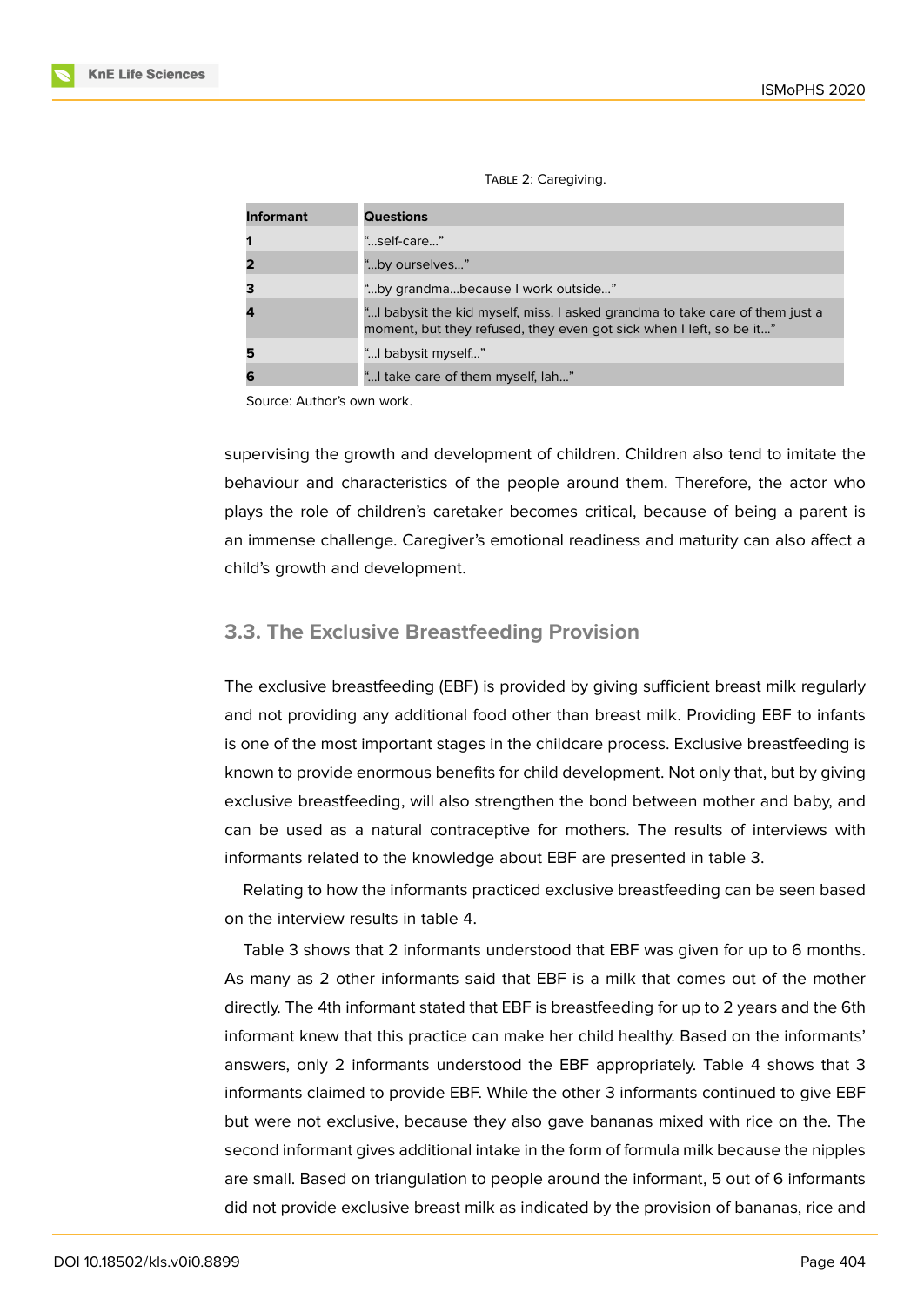|  |  | TABLE 2: Caregiving. |
|--|--|----------------------|
|--|--|----------------------|

| <b>Informant</b>        | <b>Questions</b>                                                                                                                                    |
|-------------------------|-----------------------------------------------------------------------------------------------------------------------------------------------------|
| 1                       | "self-care"                                                                                                                                         |
| $\overline{\mathbf{2}}$ | "by ourselves"                                                                                                                                      |
| 3                       | "by grandmabecause I work outside"                                                                                                                  |
| 4                       | "I babysit the kid myself, miss. I asked grandma to take care of them just a<br>moment, but they refused, they even got sick when I left, so be it" |
| 5                       | " babysit myself"                                                                                                                                   |
| 6                       | " I take care of them myself, lah"                                                                                                                  |

Source: Author's own work.

supervising the growth and development of children. Children also tend to imitate the behaviour and characteristics of the people around them. Therefore, the actor who plays the role of children's caretaker becomes critical, because of being a parent is an immense challenge. Caregiver's emotional readiness and maturity can also affect a child's growth and development.

### **3.3. The Exclusive Breastfeeding Provision**

The exclusive breastfeeding (EBF) is provided by giving sufficient breast milk regularly and not providing any additional food other than breast milk. Providing EBF to infants is one of the most important stages in the childcare process. Exclusive breastfeeding is known to provide enormous benefits for child development. Not only that, but by giving exclusive breastfeeding, will also strengthen the bond between mother and baby, and can be used as a natural contraceptive for mothers. The results of interviews with informants related to the knowledge about EBF are presented in table 3.

Relating to how the informants practiced exclusive breastfeeding can be seen based on the interview results in table 4.

Table 3 shows that 2 informants understood that EBF was given for up to 6 months. As many as 2 other informants said that EBF is a milk that comes out of the mother directly. The 4th informant stated that EBF is breastfeeding for up to 2 years and the 6th informant knew that this practice can make her child healthy. Based on the informants' answers, only 2 informants understood the EBF appropriately. Table 4 shows that 3 informants claimed to provide EBF. While the other 3 informants continued to give EBF but were not exclusive, because they also gave bananas mixed with rice on the. The second informant gives additional intake in the form of formula milk because the nipples are small. Based on triangulation to people around the informant, 5 out of 6 informants did not provide exclusive breast milk as indicated by the provision of bananas, rice and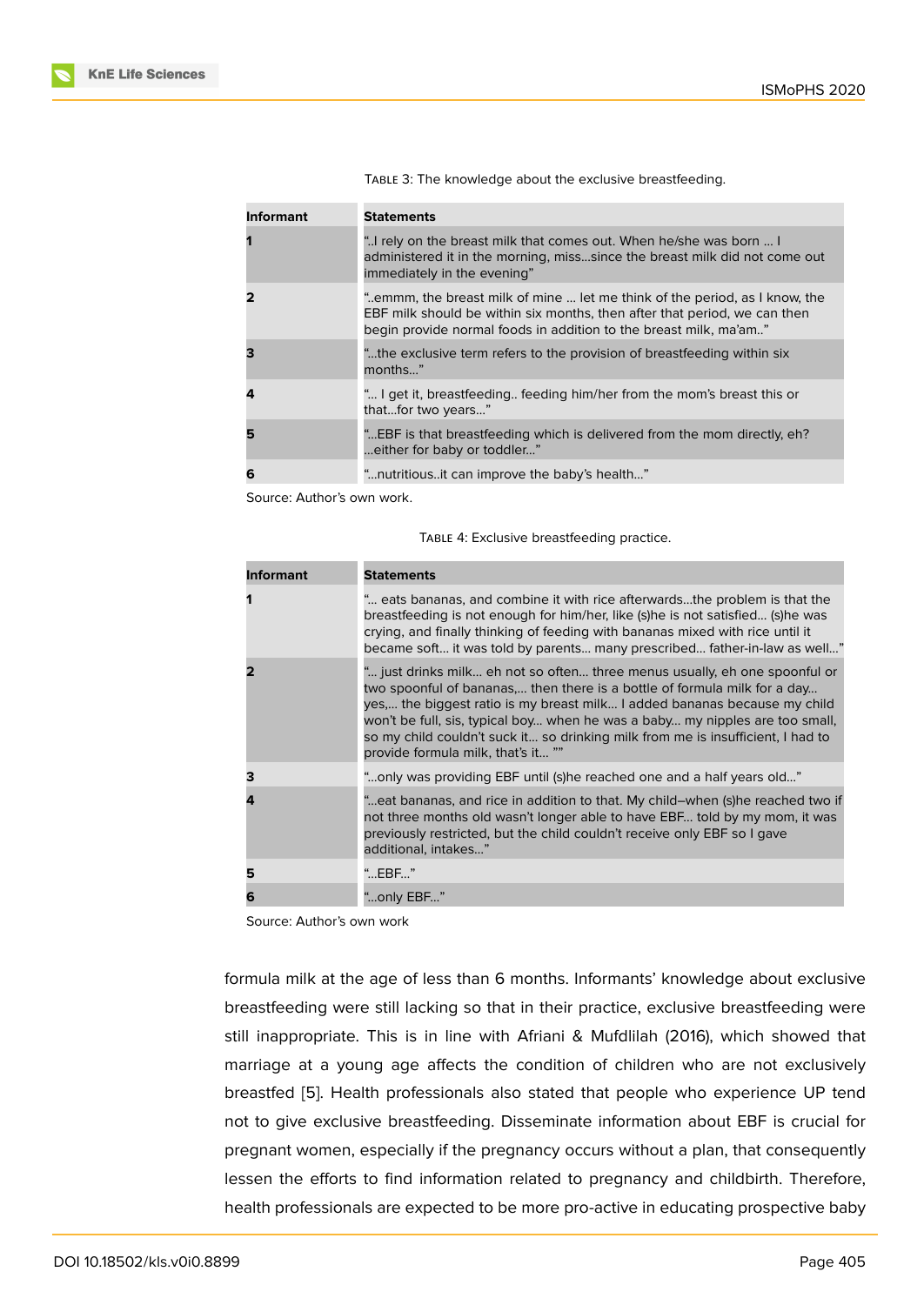| Informant | <b>Statements</b>                                                                                                                                                                                                           |
|-----------|-----------------------------------------------------------------------------------------------------------------------------------------------------------------------------------------------------------------------------|
|           | " rely on the breast milk that comes out. When he/she was born  I<br>administered it in the morning, misssince the breast milk did not come out<br>immediately in the evening"                                              |
|           | emmm, the breast milk of mine  let me think of the period, as I know, the<br>EBF milk should be within six months, then after that period, we can then<br>begin provide normal foods in addition to the breast milk, ma'am" |
|           | "the exclusive term refers to the provision of breastfeeding within six<br>months"                                                                                                                                          |
|           | " I get it, breastfeeding feeding him/her from the mom's breast this or<br>thatfor two years"                                                                                                                               |
| 5         | "EBF is that breastfeeding which is delivered from the mom directly, eh?<br>either for baby or toddler"                                                                                                                     |
| 6         | "nutritiousit can improve the baby's health"                                                                                                                                                                                |

TABLE 3: The knowledge about the exclusive breastfeeding.

Source: Author's own work.

| <b>Informant</b> | <b>Statements</b>                                                                                                                                                                                                                                                                                                                                                                                                                            |
|------------------|----------------------------------------------------------------------------------------------------------------------------------------------------------------------------------------------------------------------------------------------------------------------------------------------------------------------------------------------------------------------------------------------------------------------------------------------|
| 1                | " eats bananas, and combine it with rice afterwardsthe problem is that the<br>breastfeeding is not enough for him/her, like (s)he is not satisfied (s)he was<br>crying, and finally thinking of feeding with bananas mixed with rice until it<br>became soft it was told by parents many prescribed father-in-law as well"                                                                                                                   |
| 2                | " just drinks milk eh not so often three menus usually, eh one spoonful or<br>two spoonful of bananas, then there is a bottle of formula milk for a day<br>yes the biggest ratio is my breast milk I added bananas because my child<br>won't be full, sis, typical boy when he was a baby my nipples are too small,<br>so my child couldn't suck it so drinking milk from me is insufficient, I had to<br>provide formula milk, that's it "" |
| 3                | "only was providing EBF until (s)he reached one and a half years old"                                                                                                                                                                                                                                                                                                                                                                        |
| 4                | "eat bananas, and rice in addition to that. My child-when (s)he reached two if                                                                                                                                                                                                                                                                                                                                                               |

not three months old wasn't longer able to have EBF... told by my mom, it was previously restricted, but the child couldn't receive only EBF so I gave

Source: Author's own work

**5** "…EBF…" **6** "…only EBF…"

additional, intakes…"

formula milk at the age of less than 6 months. Informants' knowledge about exclusive breastfeeding were still lacking so that in their practice, exclusive breastfeeding were still inappropriate. This is in line with Afriani & Mufdlilah (2016), which showed that marriage at a young age affects the condition of children who are not exclusively breastfed [5]. Health professionals also stated that people who experience UP tend not to give exclusive breastfeeding. Disseminate information about EBF is crucial for pregnant women, especially if the pregnancy occurs without a plan, that consequently lessen the [e](#page-11-2)fforts to find information related to pregnancy and childbirth. Therefore, health professionals are expected to be more pro-active in educating prospective baby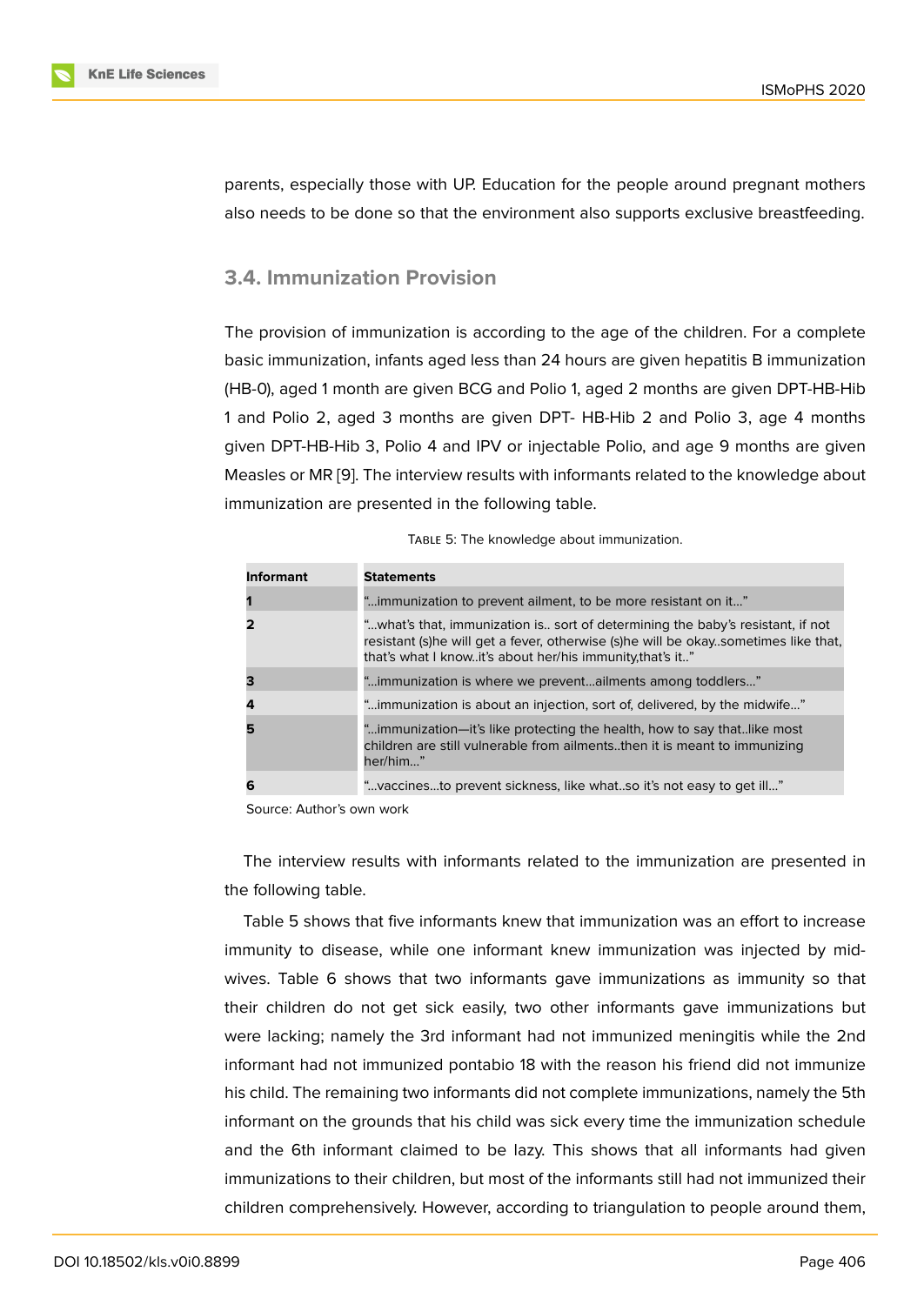parents, especially those with UP. Education for the people around pregnant mothers also needs to be done so that the environment also supports exclusive breastfeeding.

### **3.4. Immunization Provision**

The provision of immunization is according to the age of the children. For a complete basic immunization, infants aged less than 24 hours are given hepatitis B immunization (HB-0), aged 1 month are given BCG and Polio 1, aged 2 months are given DPT-HB-Hib 1 and Polio 2, aged 3 months are given DPT- HB-Hib 2 and Polio 3, age 4 months given DPT-HB-Hib 3, Polio 4 and IPV or injectable Polio, and age 9 months are given Measles or MR [9]. The interview results with informants related to the knowledge about immunization are presented in the following table.

| <b>Informant</b> | <b>Statements</b>                                                                                                                                                                                                                   |
|------------------|-------------------------------------------------------------------------------------------------------------------------------------------------------------------------------------------------------------------------------------|
|                  | "immunization to prevent ailment, to be more resistant on it"                                                                                                                                                                       |
|                  | "what's that, immunization is sort of determining the baby's resistant, if not<br>resistant (s)he will get a fever, otherwise (s)he will be okay. sometimes like that,<br>that's what I knowit's about her/his immunity, that's it" |
|                  | "immunization is where we preventailments among toddlers"                                                                                                                                                                           |
|                  | "immunization is about an injection, sort of, delivered, by the midwife"                                                                                                                                                            |
|                  | "immunization—it's like protecting the health, how to say thatlike most<br>children are still vulnerable from ailmentsthen it is meant to immunizing<br>her/him"                                                                    |
| 6                | "vaccinesto prevent sickness, like whatso it's not easy to get ill"                                                                                                                                                                 |

|  |  | TABLE 5: The knowledge about immunization. |
|--|--|--------------------------------------------|
|  |  |                                            |

Source: Author's own work

The interview results with informants related to the immunization are presented in the following table.

Table 5 shows that five informants knew that immunization was an effort to increase immunity to disease, while one informant knew immunization was injected by midwives. Table 6 shows that two informants gave immunizations as immunity so that their children do not get sick easily, two other informants gave immunizations but were lacking; namely the 3rd informant had not immunized meningitis while the 2nd informant had not immunized pontabio 18 with the reason his friend did not immunize his child. The remaining two informants did not complete immunizations, namely the 5th informant on the grounds that his child was sick every time the immunization schedule and the 6th informant claimed to be lazy. This shows that all informants had given immunizations to their children, but most of the informants still had not immunized their children comprehensively. However, according to triangulation to people around them,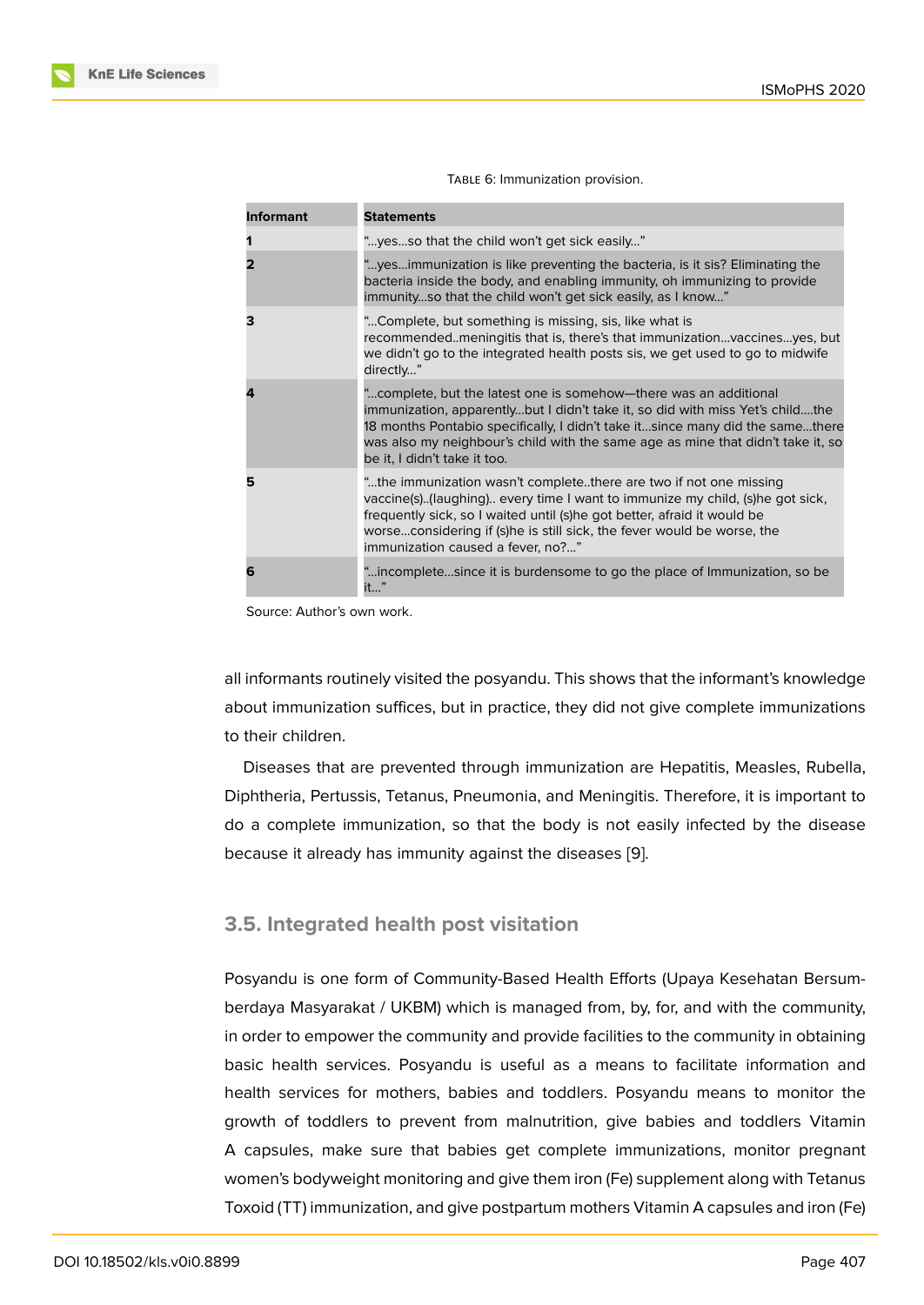| <b>Informant</b> | <b>Statements</b>                                                                                                                                                                                                                                                                                                                                     |
|------------------|-------------------------------------------------------------------------------------------------------------------------------------------------------------------------------------------------------------------------------------------------------------------------------------------------------------------------------------------------------|
|                  | "yesso that the child won't get sick easily"                                                                                                                                                                                                                                                                                                          |
|                  | "yesimmunization is like preventing the bacteria, is it sis? Eliminating the<br>bacteria inside the body, and enabling immunity, oh immunizing to provide<br>immunityso that the child won't get sick easily, as I know"                                                                                                                              |
| з                | "Complete, but something is missing, sis, like what is<br>recommendedmeningitis that is, there's that immunizationvaccinesyes, but<br>we didn't go to the integrated health posts sis, we get used to go to midwife<br>directly"                                                                                                                      |
| 4                | "complete, but the latest one is somehow—there was an additional<br>immunization, apparentlybut I didn't take it, so did with miss Yet's childthe<br>18 months Pontabio specifically, I didn't take itsince many did the samethere<br>was also my neighbour's child with the same age as mine that didn't take it, so<br>be it, I didn't take it too. |
| 5                | "the immunization wasn't completethere are two if not one missing<br>vaccine(s)(laughing) every time I want to immunize my child, (s)he got sick,<br>frequently sick, so I waited until (s) he got better, afraid it would be<br>worseconsidering if (s)he is still sick, the fever would be worse, the<br>immunization caused a fever, no?"          |
| 6                | "incompletesince it is burdensome to go the place of Immunization, so be<br>it…"                                                                                                                                                                                                                                                                      |

Source: Author's own work.

all informants routinely visited the posyandu. This shows that the informant's knowledge about immunization suffices, but in practice, they did not give complete immunizations to their children.

Diseases that are prevented through immunization are Hepatitis, Measles, Rubella, Diphtheria, Pertussis, Tetanus, Pneumonia, and Meningitis. Therefore, it is important to do a complete immunization, so that the body is not easily infected by the disease because it already has immunity against the diseases [9].

#### **3.5. Integrated health post visitation**

Posyandu is one form of Community-Based Health Efforts (Upaya Kesehatan Bersumberdaya Masyarakat / UKBM) which is managed from, by, for, and with the community, in order to empower the community and provide facilities to the community in obtaining basic health services. Posyandu is useful as a means to facilitate information and health services for mothers, babies and toddlers. Posyandu means to monitor the growth of toddlers to prevent from malnutrition, give babies and toddlers Vitamin A capsules, make sure that babies get complete immunizations, monitor pregnant women's bodyweight monitoring and give them iron (Fe) supplement along with Tetanus Toxoid (TT) immunization, and give postpartum mothers Vitamin A capsules and iron (Fe)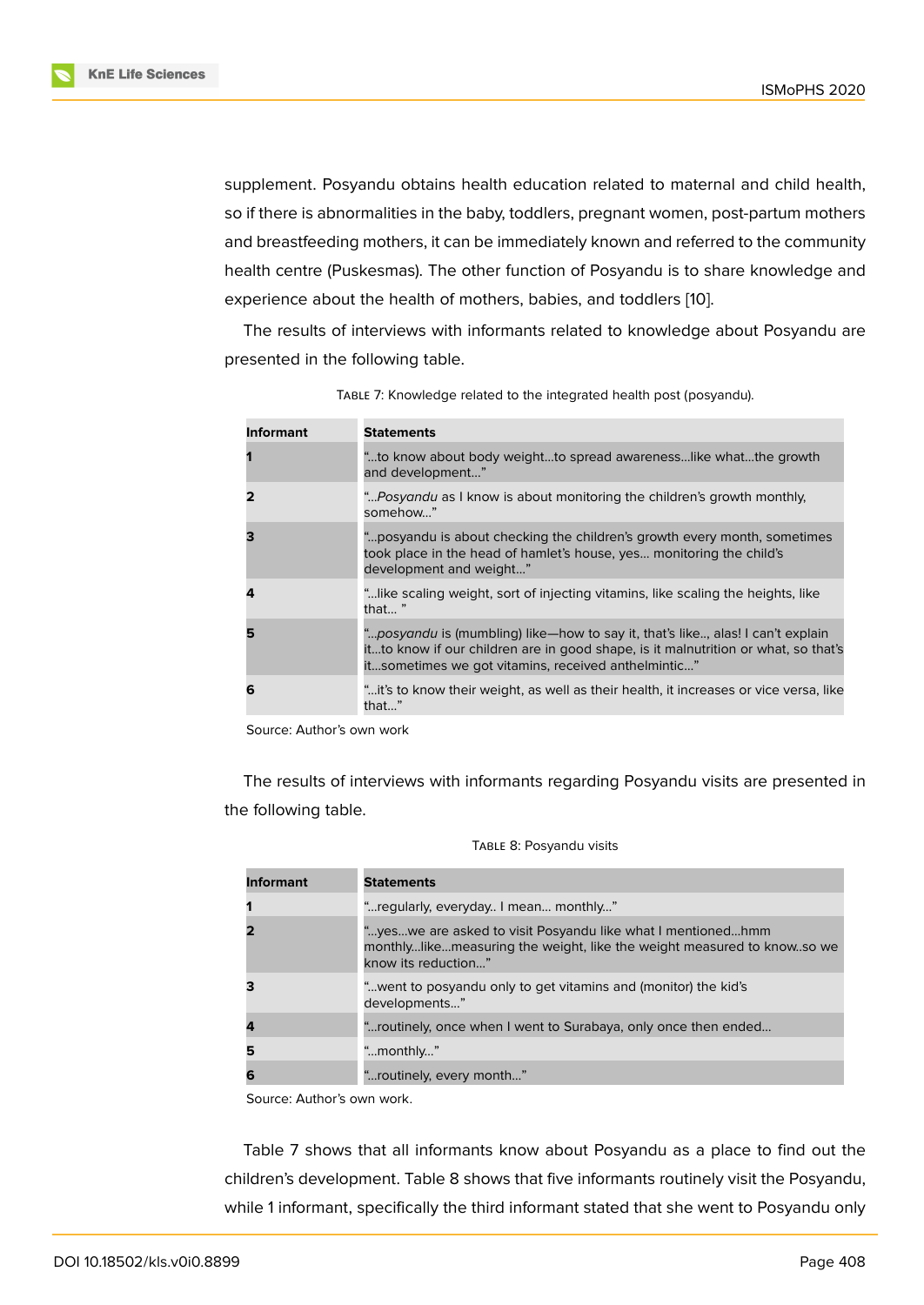supplement. Posyandu obtains health education related to maternal and child health, so if there is abnormalities in the baby, toddlers, pregnant women, post-partum mothers and breastfeeding mothers, it can be immediately known and referred to the community health centre (Puskesmas). The other function of Posyandu is to share knowledge and experience about the health of mothers, babies, and toddlers [10].

The results of interviews with informants related to knowledge about Posyandu are presented in the following table.

| <b>Informant</b> | <b>Statements</b>                                                                                                                                                                                                           |
|------------------|-----------------------------------------------------------------------------------------------------------------------------------------------------------------------------------------------------------------------------|
|                  | to know about body weightto spread awarenesslike whatthe growth"<br>and development"                                                                                                                                        |
|                  | " Posyandu as I know is about monitoring the children's growth monthly,<br>somehow"                                                                                                                                         |
|                  | " posyandu is about checking the children's growth every month, sometimes<br>took place in the head of hamlet's house, yes monitoring the child's<br>development and weight"                                                |
|                  | " like scaling weight, sort of injecting vitamins, like scaling the heights, like<br>that "                                                                                                                                 |
|                  | "posyandu is (mumbling) like-how to say it, that's like, alas! I can't explain<br>itto know if our children are in good shape, is it malnutrition or what, so that's<br>itsometimes we got vitamins, received anthelmintic" |
| 6                | "it's to know their weight, as well as their health, it increases or vice versa, like<br>that"                                                                                                                              |

TABLE 7: Knowledge related to the integrated health post (posyandu).

Source: Author's own work

The results of interviews with informants regarding Posyandu visits are presented in the following table.

| <b>Informant</b> | <b>Statements</b>                                                                                                                                            |
|------------------|--------------------------------------------------------------------------------------------------------------------------------------------------------------|
|                  | " regularly, everyday I mean monthly"                                                                                                                        |
|                  | "yeswe are asked to visit Posyandu like what I mentionedhmm<br>monthlylikemeasuring the weight, like the weight measured to knowso we<br>know its reduction" |
|                  | " went to posyandu only to get vitamins and (monitor) the kid's<br>developments"                                                                             |
|                  | "routinely, once when I went to Surabaya, only once then ended                                                                                               |
|                  | "monthly"                                                                                                                                                    |
|                  | "routinely, every month"                                                                                                                                     |

|  | TABLE 8: Posyandu visits |  |
|--|--------------------------|--|
|--|--------------------------|--|

Source: Author's own work.

Table 7 shows that all informants know about Posyandu as a place to find out the children's development. Table 8 shows that five informants routinely visit the Posyandu, while 1 informant, specifically the third informant stated that she went to Posyandu only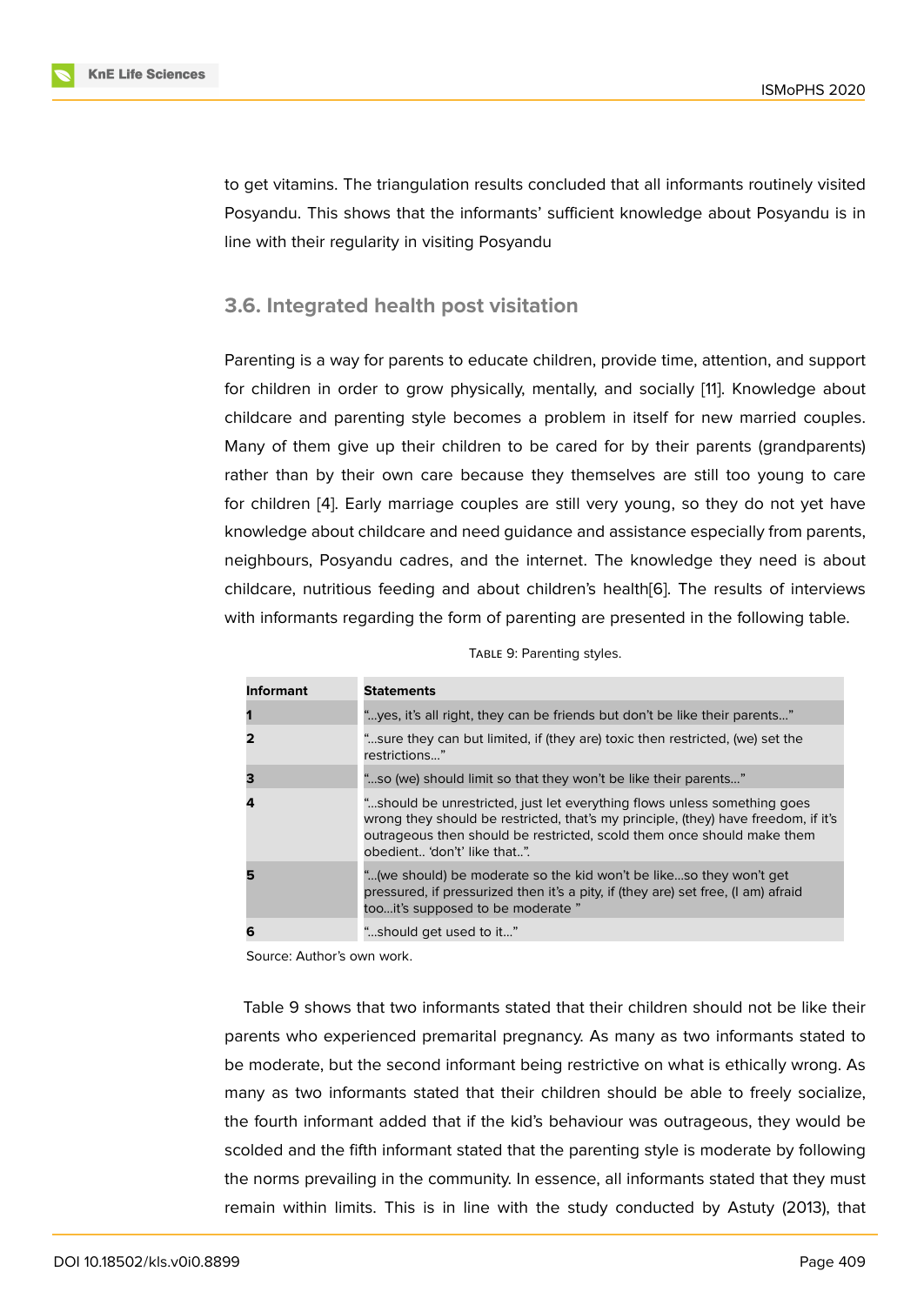to get vitamins. The triangulation results concluded that all informants routinely visited Posyandu. This shows that the informants' sufficient knowledge about Posyandu is in line with their regularity in visiting Posyandu

### **3.6. Integrated health post visitation**

Parenting is a way for parents to educate children, provide time, attention, and support for children in order to grow physically, mentally, and socially [11]. Knowledge about childcare and parenting style becomes a problem in itself for new married couples. Many of them give up their children to be cared for by their parents (grandparents) rather than by their own care because they themselves are s[till](#page-11-5) too young to care for children [4]. Early marriage couples are still very young, so they do not yet have knowledge about childcare and need guidance and assistance especially from parents, neighbours, Posyandu cadres, and the internet. The knowledge they need is about childcare, n[utr](#page-11-1)itious feeding and about children's health[6]. The results of interviews with informants regarding the form of parenting are presented in the following table.

|  | TABLE 9: Parenting styles. |  |
|--|----------------------------|--|
|--|----------------------------|--|

| Informant | <b>Statements</b>                                                                                                                                                                                                                                                        |
|-----------|--------------------------------------------------------------------------------------------------------------------------------------------------------------------------------------------------------------------------------------------------------------------------|
|           | "yes, it's all right, they can be friends but don't be like their parents"                                                                                                                                                                                               |
| 2         | "sure they can but limited, if (they are) toxic then restricted, (we) set the<br>restrictions"                                                                                                                                                                           |
| з         | "so (we) should limit so that they won't be like their parents"                                                                                                                                                                                                          |
| 4         | "should be unrestricted, just let everything flows unless something goes<br>wrong they should be restricted, that's my principle, (they) have freedom, if it's<br>outrageous then should be restricted, scold them once should make them<br>obedient 'don't' like that". |
| 5         | "(we should) be moderate so the kid won't be likeso they won't get<br>pressured, if pressurized then it's a pity, if (they are) set free, (I am) afraid<br>tooit's supposed to be moderate "                                                                             |
| 6         | "should get used to it"                                                                                                                                                                                                                                                  |

Source: Author's own work.

Table 9 shows that two informants stated that their children should not be like their parents who experienced premarital pregnancy. As many as two informants stated to be moderate, but the second informant being restrictive on what is ethically wrong. As many as two informants stated that their children should be able to freely socialize, the fourth informant added that if the kid's behaviour was outrageous, they would be scolded and the fifth informant stated that the parenting style is moderate by following the norms prevailing in the community. In essence, all informants stated that they must remain within limits. This is in line with the study conducted by Astuty (2013), that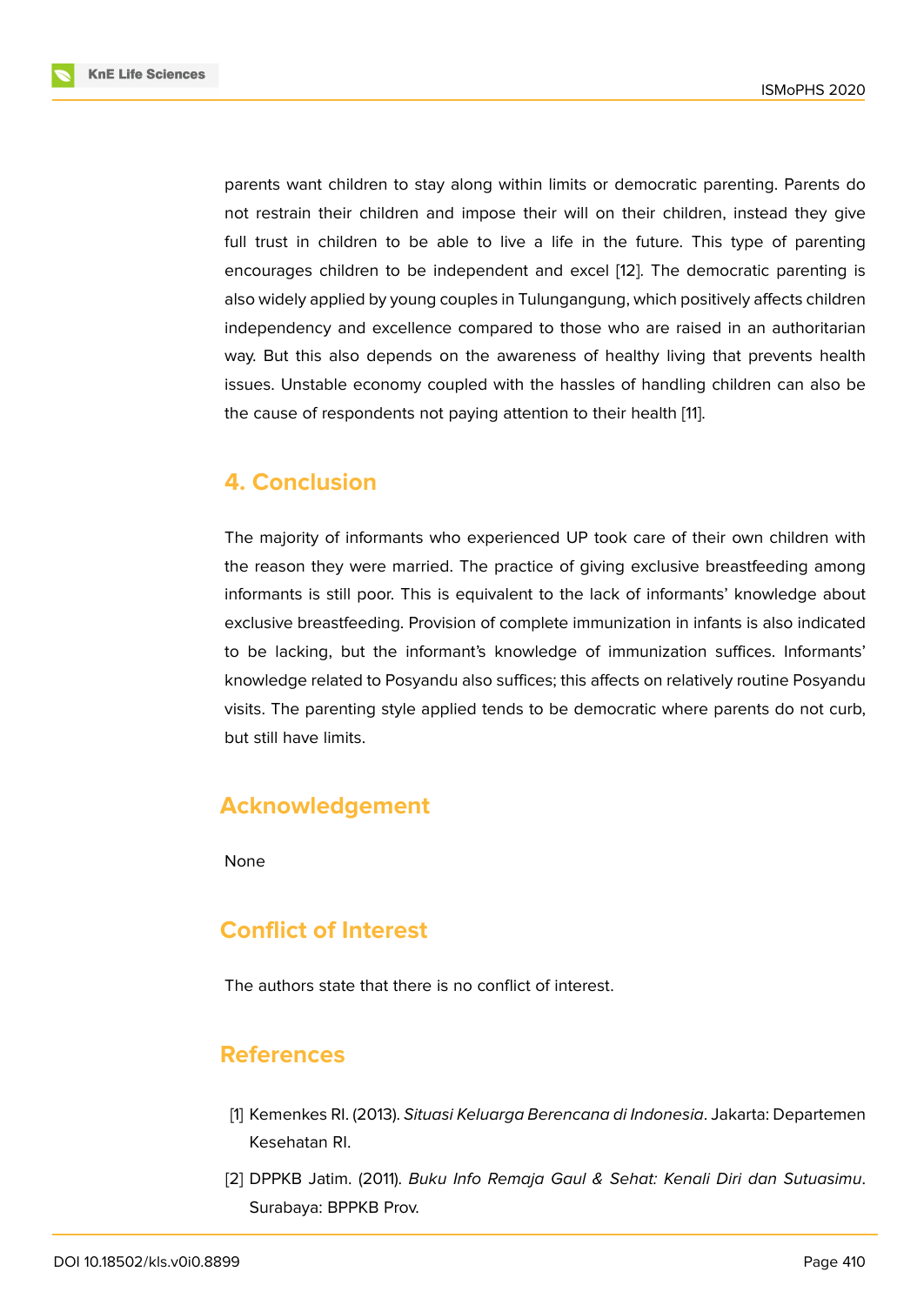parents want children to stay along within limits or democratic parenting. Parents do not restrain their children and impose their will on their children, instead they give full trust in children to be able to live a life in the future. This type of parenting encourages children to be independent and excel [12]. The democratic parenting is also widely applied by young couples in Tulungangung, which positively affects children independency and excellence compared to those who are raised in an authoritarian way. But this also depends on the awareness of h[eal](#page-11-6)thy living that prevents health issues. Unstable economy coupled with the hassles of handling children can also be the cause of respondents not paying attention to their health [11].

# **4. Conclusion**

The majority of informants who experienced UP took care of their own children with the reason they were married. The practice of giving exclusive breastfeeding among informants is still poor. This is equivalent to the lack of informants' knowledge about exclusive breastfeeding. Provision of complete immunization in infants is also indicated to be lacking, but the informant's knowledge of immunization suffices. Informants' knowledge related to Posyandu also suffices; this affects on relatively routine Posyandu visits. The parenting style applied tends to be democratic where parents do not curb, but still have limits.

# **Acknowledgement**

None

# **Conflict of Interest**

The authors state that there is no conflict of interest.

### **References**

- [1] Kemenkes RI. (2013). *Situasi Keluarga Berencana di Indonesia*. Jakarta: Departemen Kesehatan RI.
- <span id="page-10-1"></span><span id="page-10-0"></span>[2] DPPKB Jatim. (2011). *Buku Info Remaja Gaul & Sehat: Kenali Diri dan Sutuasimu*. Surabaya: BPPKB Prov.